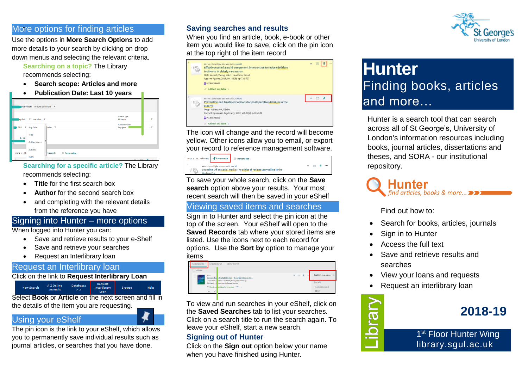#### More options for finding articles **Saving searches and results**

Use the options in **More Search Options** to add more details to your search by clicking on drop down menus and selecting the relevant criteria.

**Searching on a topic?** The Library

recommends selecting:

- **Search scope: Articles and more**
- **Publication Date: Last 10 years**



#### **Searching for a specific article?** The Library recommends selecting:

- **Title** for the first search box
- **Author** for the second search box
- and completing with the relevant details from the reference you have

## Signing into Hunter – more options

When logged into Hunter you can:

- Save and retrieve results to your e-Shelf
- Save and retrieve your searches
- Request an Interlibrary loan

# Request an Interlibrary loan

Click on the link to **Request Interlibrary Loan**

Request<br>Interlibrary A-Z Online **Databases New Search Browse** 

Select **Book** or **Article** on the next screen and fill in the details of the item you are requesting.

# Using your eShelf

The pin icon is the link to your eShelf, which allows you to permanently save individual results such as journal articles, or searches that you have done.

When you find an article, book, e-book or other item you would like to save, click on the pin icon at the top right of the item record



The icon will change and the record will become yellow. Other icons allow you to email, or export your record to reference management software.

| PAGE 1 20,120 Results Save search Personalize |                                           |                                                                         |          |          |
|-----------------------------------------------|-------------------------------------------|-------------------------------------------------------------------------|----------|----------|
| k<br>Modern Era                               | ARTICLE / multiple sources exist, see all | Sounding Off on Social Media: The Ethics of Patient Storytelling in the | 99 12 12 | $\cdots$ |

To save your whole search, click on the **Save search** option above your results. Your most recent search will then be saved in your eShelf

# Viewing saved items and searches

Sign in to Hunter and select the pin icon at the top of the screen. Your eShelf will open to the **Saved Records** tab where your stored items are listed. Use the icons next to each record for options. Use the **Sort by** option to manage your items

| SAVED RECORDS<br>45 items | SAVED SEARCHES<br>SEARCH HISTORY                                                             |                                        |
|---------------------------|----------------------------------------------------------------------------------------------|----------------------------------------|
| BOOK<br><b>ESSAGE</b>     | # □ 夏<br>$\sim$<br>Science-band rehabilitation: theories into practice                       | Sort by Date added                     |
| ×                         | Louise Ada; E abeth Ellis 1954 ; Kathryn M Refshauge<br>Edinburgh: E terworth-Heinemann 2005 | Labels                                 |
| test $\Big $              | <sup>III</sup> Check ava ability of print copies *** >                                       | <b>Unlabeled items [40]</b><br>test(3) |

To view and run searches in your eShelf, click on the **Saved Searches** tab to list your searches. Click on a search title to run the search again. To leave your eShelf, start a new search.

## **Signing out of Hunter**

Click on the **Sign out** option below your name when you have finished using Hunter.



# **Hunter** Finding books, articles and more…

Hunter is a search tool that can search across all of St George's, University of London's information resources including books, journal articles, dissertations and theses, and SORA - our institutional repository.

# Hunter find articles, books & more... $\blacktriangleright$

Find out how to:

- Search for books, articles, journals
- Sign in to Hunter
- Access the full text
- Save and retrieve results and searches
- View your loans and requests
- Request an interlibrary loan



**2018-19**

1<sup>st</sup> Floor Hunter Wing library.sgul.ac.uk